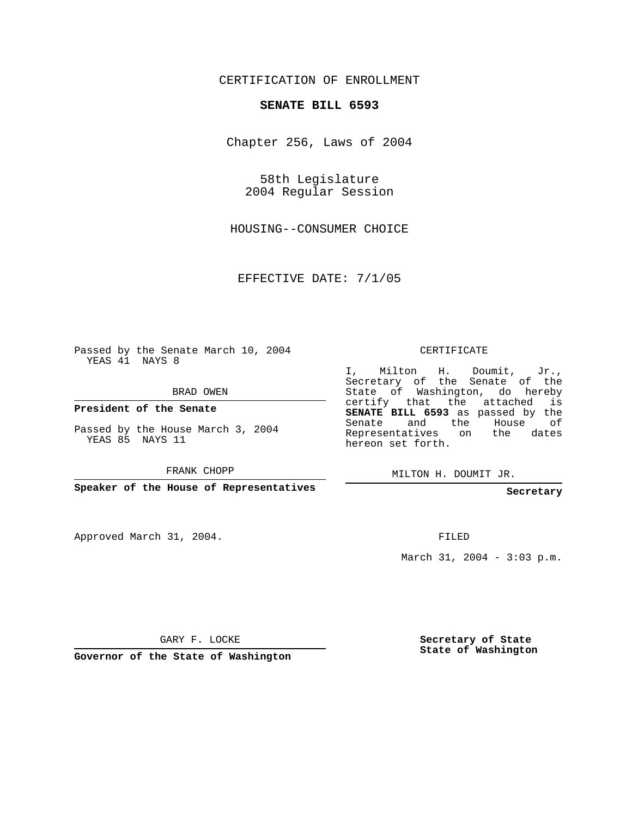## CERTIFICATION OF ENROLLMENT

## **SENATE BILL 6593**

Chapter 256, Laws of 2004

58th Legislature 2004 Regular Session

HOUSING--CONSUMER CHOICE

EFFECTIVE DATE: 7/1/05

Passed by the Senate March 10, 2004 YEAS 41 NAYS 8

BRAD OWEN

**President of the Senate**

Passed by the House March 3, 2004 YEAS 85 NAYS 11

FRANK CHOPP

**Speaker of the House of Representatives**

Approved March 31, 2004.

CERTIFICATE

I, Milton H. Doumit, Jr., Secretary of the Senate of the State of Washington, do hereby certify that the attached is **SENATE BILL 6593** as passed by the Senate and the House of Representatives on the dates hereon set forth.

MILTON H. DOUMIT JR.

**Secretary**

FILED

March 31, 2004 - 3:03 p.m.

GARY F. LOCKE

**Governor of the State of Washington**

**Secretary of State State of Washington**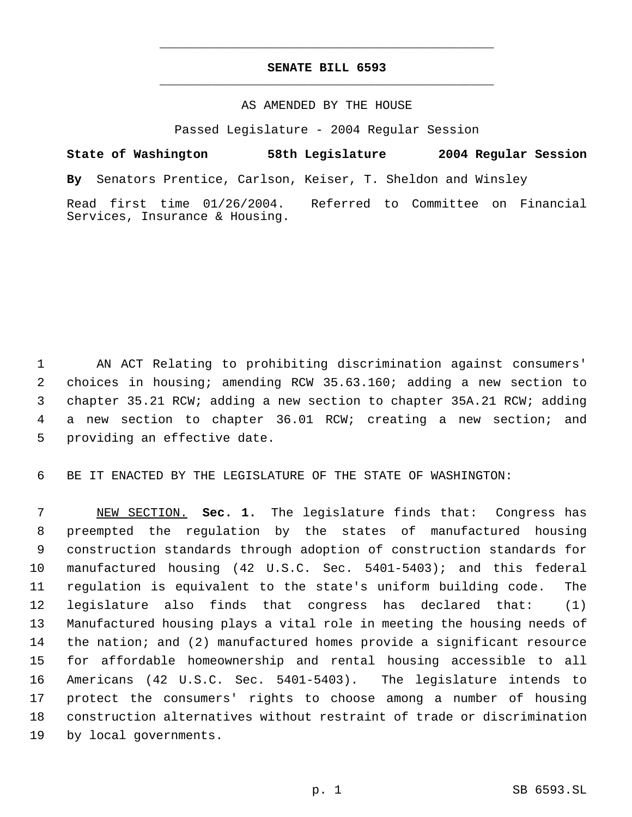## **SENATE BILL 6593** \_\_\_\_\_\_\_\_\_\_\_\_\_\_\_\_\_\_\_\_\_\_\_\_\_\_\_\_\_\_\_\_\_\_\_\_\_\_\_\_\_\_\_\_\_

\_\_\_\_\_\_\_\_\_\_\_\_\_\_\_\_\_\_\_\_\_\_\_\_\_\_\_\_\_\_\_\_\_\_\_\_\_\_\_\_\_\_\_\_\_

## AS AMENDED BY THE HOUSE

Passed Legislature - 2004 Regular Session

**State of Washington 58th Legislature 2004 Regular Session By** Senators Prentice, Carlson, Keiser, T. Sheldon and Winsley Read first time 01/26/2004. Referred to Committee on Financial Services, Insurance & Housing.

 AN ACT Relating to prohibiting discrimination against consumers' choices in housing; amending RCW 35.63.160; adding a new section to chapter 35.21 RCW; adding a new section to chapter 35A.21 RCW; adding a new section to chapter 36.01 RCW; creating a new section; and providing an effective date.

BE IT ENACTED BY THE LEGISLATURE OF THE STATE OF WASHINGTON:

 NEW SECTION. **Sec. 1.** The legislature finds that: Congress has preempted the regulation by the states of manufactured housing construction standards through adoption of construction standards for manufactured housing (42 U.S.C. Sec. 5401-5403); and this federal regulation is equivalent to the state's uniform building code. The legislature also finds that congress has declared that: (1) Manufactured housing plays a vital role in meeting the housing needs of the nation; and (2) manufactured homes provide a significant resource for affordable homeownership and rental housing accessible to all Americans (42 U.S.C. Sec. 5401-5403). The legislature intends to protect the consumers' rights to choose among a number of housing construction alternatives without restraint of trade or discrimination by local governments.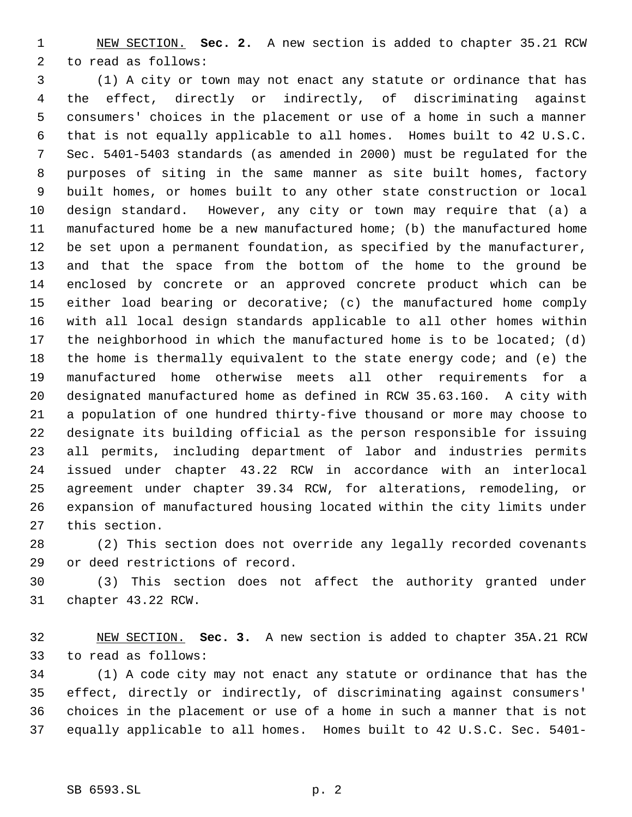NEW SECTION. **Sec. 2.** A new section is added to chapter 35.21 RCW to read as follows:

 (1) A city or town may not enact any statute or ordinance that has the effect, directly or indirectly, of discriminating against consumers' choices in the placement or use of a home in such a manner that is not equally applicable to all homes. Homes built to 42 U.S.C. Sec. 5401-5403 standards (as amended in 2000) must be regulated for the purposes of siting in the same manner as site built homes, factory built homes, or homes built to any other state construction or local design standard. However, any city or town may require that (a) a manufactured home be a new manufactured home; (b) the manufactured home be set upon a permanent foundation, as specified by the manufacturer, and that the space from the bottom of the home to the ground be enclosed by concrete or an approved concrete product which can be either load bearing or decorative; (c) the manufactured home comply with all local design standards applicable to all other homes within the neighborhood in which the manufactured home is to be located; (d) the home is thermally equivalent to the state energy code; and (e) the manufactured home otherwise meets all other requirements for a designated manufactured home as defined in RCW 35.63.160. A city with a population of one hundred thirty-five thousand or more may choose to designate its building official as the person responsible for issuing all permits, including department of labor and industries permits issued under chapter 43.22 RCW in accordance with an interlocal agreement under chapter 39.34 RCW, for alterations, remodeling, or expansion of manufactured housing located within the city limits under this section.

 (2) This section does not override any legally recorded covenants or deed restrictions of record.

 (3) This section does not affect the authority granted under chapter 43.22 RCW.

 NEW SECTION. **Sec. 3.** A new section is added to chapter 35A.21 RCW to read as follows:

 (1) A code city may not enact any statute or ordinance that has the effect, directly or indirectly, of discriminating against consumers' choices in the placement or use of a home in such a manner that is not equally applicable to all homes. Homes built to 42 U.S.C. Sec. 5401-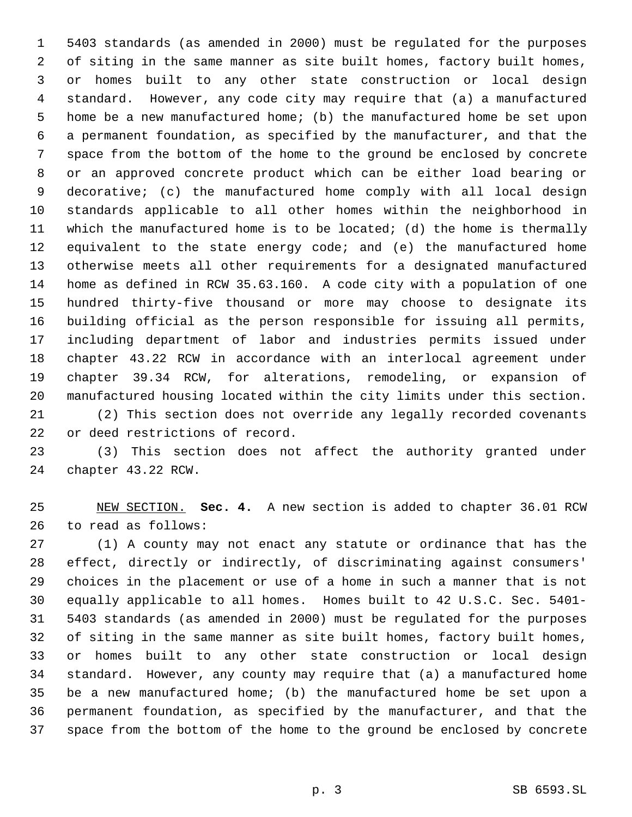5403 standards (as amended in 2000) must be regulated for the purposes of siting in the same manner as site built homes, factory built homes, or homes built to any other state construction or local design standard. However, any code city may require that (a) a manufactured home be a new manufactured home; (b) the manufactured home be set upon a permanent foundation, as specified by the manufacturer, and that the space from the bottom of the home to the ground be enclosed by concrete or an approved concrete product which can be either load bearing or decorative; (c) the manufactured home comply with all local design standards applicable to all other homes within the neighborhood in which the manufactured home is to be located; (d) the home is thermally equivalent to the state energy code; and (e) the manufactured home otherwise meets all other requirements for a designated manufactured home as defined in RCW 35.63.160. A code city with a population of one hundred thirty-five thousand or more may choose to designate its building official as the person responsible for issuing all permits, including department of labor and industries permits issued under chapter 43.22 RCW in accordance with an interlocal agreement under chapter 39.34 RCW, for alterations, remodeling, or expansion of manufactured housing located within the city limits under this section. (2) This section does not override any legally recorded covenants or deed restrictions of record.

 (3) This section does not affect the authority granted under chapter 43.22 RCW.

 NEW SECTION. **Sec. 4.** A new section is added to chapter 36.01 RCW to read as follows:

 (1) A county may not enact any statute or ordinance that has the effect, directly or indirectly, of discriminating against consumers' choices in the placement or use of a home in such a manner that is not equally applicable to all homes. Homes built to 42 U.S.C. Sec. 5401- 5403 standards (as amended in 2000) must be regulated for the purposes of siting in the same manner as site built homes, factory built homes, or homes built to any other state construction or local design standard. However, any county may require that (a) a manufactured home be a new manufactured home; (b) the manufactured home be set upon a permanent foundation, as specified by the manufacturer, and that the space from the bottom of the home to the ground be enclosed by concrete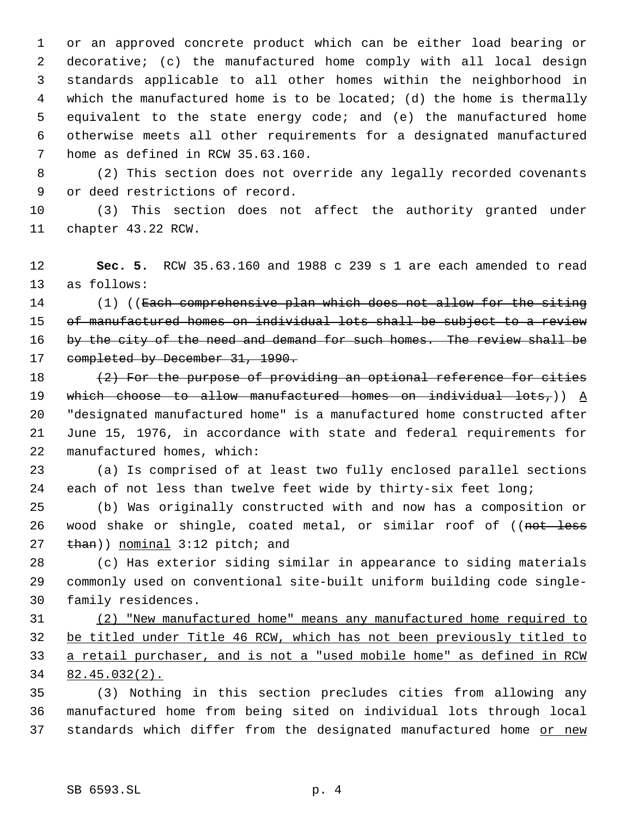or an approved concrete product which can be either load bearing or decorative; (c) the manufactured home comply with all local design standards applicable to all other homes within the neighborhood in which the manufactured home is to be located; (d) the home is thermally equivalent to the state energy code; and (e) the manufactured home otherwise meets all other requirements for a designated manufactured home as defined in RCW 35.63.160.

 (2) This section does not override any legally recorded covenants or deed restrictions of record.

 (3) This section does not affect the authority granted under chapter 43.22 RCW.

 **Sec. 5.** RCW 35.63.160 and 1988 c 239 s 1 are each amended to read as follows:

14 (1) ((<del>Each comprehensive plan which does not allow for the siting</del> 15 of manufactured homes on individual lots shall be subject to a review 16 by the city of the need and demand for such homes. The review shall be 17 completed by December 31, 1990.

 $(2)$  For the purpose of providing an optional reference for cities 19 which choose to allow manufactured homes on individual lots,))  $\underline{A}$  "designated manufactured home" is a manufactured home constructed after June 15, 1976, in accordance with state and federal requirements for manufactured homes, which:

 (a) Is comprised of at least two fully enclosed parallel sections each of not less than twelve feet wide by thirty-six feet long;

 (b) Was originally constructed with and now has a composition or 26 wood shake or shingle, coated metal, or similar roof of ((not less 27 than)) nominal 3:12 pitch; and

 (c) Has exterior siding similar in appearance to siding materials commonly used on conventional site-built uniform building code single-family residences.

 (2) "New manufactured home" means any manufactured home required to be titled under Title 46 RCW, which has not been previously titled to a retail purchaser, and is not a "used mobile home" as defined in RCW 82.45.032(2).

 (3) Nothing in this section precludes cities from allowing any manufactured home from being sited on individual lots through local 37 standards which differ from the designated manufactured home or new